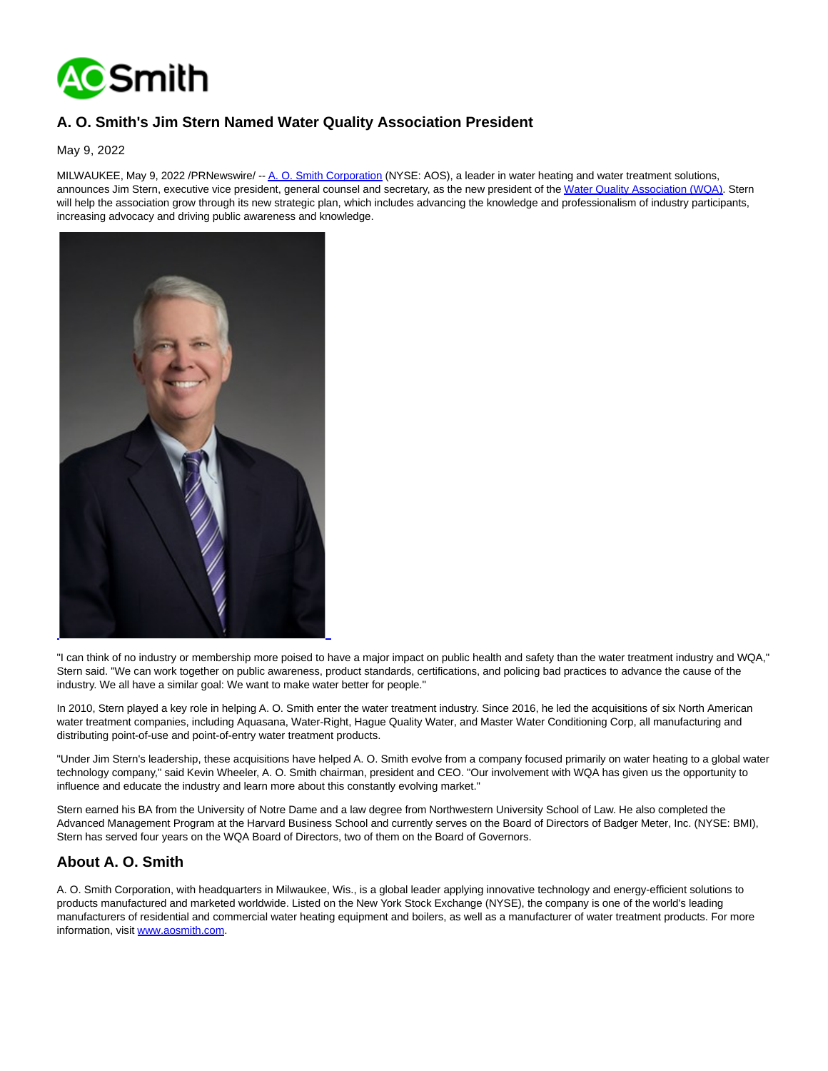

## **A. O. Smith's Jim Stern Named Water Quality Association President**

May 9, 2022

MILWAUKEE, May 9, 2022 /PRNewswire/ -[- A. O. Smith Corporation \(](https://c212.net/c/link/?t=0&l=en&o=3530438-1&h=1036266405&u=http%3A%2F%2Fwww.aosmith.com%2F&a=A.+O.+Smith+Corporation)NYSE: AOS), a leader in water heating and water treatment solutions, announces Jim Stern, executive vice president, general counsel and secretary, as the new president of th[e Water Quality Association \(WQA\).](https://c212.net/c/link/?t=0&l=en&o=3530438-1&h=2120210609&u=https%3A%2F%2Fwqa.org%2F&a=Water+Quality+Association+(WQA)) Stern will help the association grow through its new strategic plan, which includes advancing the knowledge and professionalism of industry participants, increasing advocacy and driving public awareness and knowledge.



"I can think of no industry or membership more poised to have a major impact on public health and safety than the water treatment industry and WQA," Stern said. "We can work together on public awareness, product standards, certifications, and policing bad practices to advance the cause of the industry. We all have a similar goal: We want to make water better for people."

In 2010, Stern played a key role in helping A. O. Smith enter the water treatment industry. Since 2016, he led the acquisitions of six North American water treatment companies, including Aquasana, Water-Right, Hague Quality Water, and Master Water Conditioning Corp, all manufacturing and distributing point-of-use and point-of-entry water treatment products.

"Under Jim Stern's leadership, these acquisitions have helped A. O. Smith evolve from a company focused primarily on water heating to a global water technology company," said Kevin Wheeler, A. O. Smith chairman, president and CEO. "Our involvement with WQA has given us the opportunity to influence and educate the industry and learn more about this constantly evolving market."

Stern earned his BA from the University of Notre Dame and a law degree from Northwestern University School of Law. He also completed the Advanced Management Program at the Harvard Business School and currently serves on the Board of Directors of Badger Meter, Inc. (NYSE: BMI), Stern has served four years on the WQA Board of Directors, two of them on the Board of Governors.

## **About A. O. Smith**

A. O. Smith Corporation, with headquarters in Milwaukee, Wis., is a global leader applying innovative technology and energy-efficient solutions to products manufactured and marketed worldwide. Listed on the New York Stock Exchange (NYSE), the company is one of the world's leading manufacturers of residential and commercial water heating equipment and boilers, as well as a manufacturer of water treatment products. For more information, visit [www.aosmith.com.](https://c212.net/c/link/?t=0&l=en&o=3530438-1&h=1513007127&u=http%3A%2F%2Fwww.aosmith.com%2F&a=www.aosmith.com)